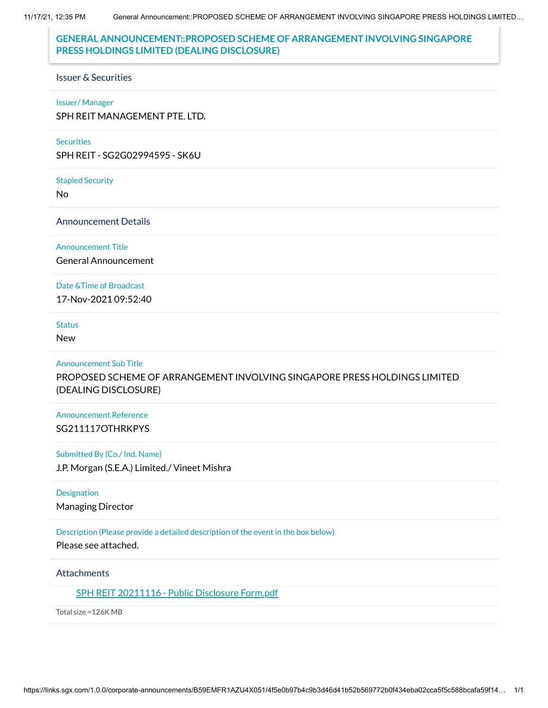11/17/21, 12:35 PM General Announcement::PROPOSED SCHEME OF ARRANGEMENT INVOLVING SINGAPORE PRESS HOLDINGS LIMITED…

# **GENERAL ANNOUNCEMENT::PROPOSED SCHEME OF ARRANGEMENT INVOLVING SINGAPORE PRESS HOLDINGS LIMITED (DEALING DISCLOSURE)**

#### Issuer & Securities

#### Issuer/ Manager

SPH REIT MANAGEMENT PTE. LTD.

#### **Securities**

SPH REIT - SG2G02994595 - SK6U

Stapled Security

No

## Announcement Details

#### Announcement Title

General Announcement

### Date &Time of Broadcast

17-Nov-2021 09:52:40

### **Status**

New

#### Announcement Sub Title

PROPOSED SCHEME OF ARRANGEMENT INVOLVING SINGAPORE PRESS HOLDINGS LIMITED (DEALING DISCLOSURE)

## Announcement Reference SG211117OTHRKPYS

#### Submitted By (Co./ Ind. Name)

J.P. Morgan (S.E.A.) Limited./ Vineet Mishra

#### **Designation**

Managing Director

## Description (Please provide a detailed description of the event in the box below)

Please see attached.

## **Attachments**

## SPH REIT [20211116](https://links.sgx.com/1.0.0/corporate-announcements/B59EMFR1AZU4X051/691125_SPH%20REIT%2020211116%20-%20Public%20Disclosure%20Form.pdf) - Public Disclosure Form.pdf

Total size =126K MB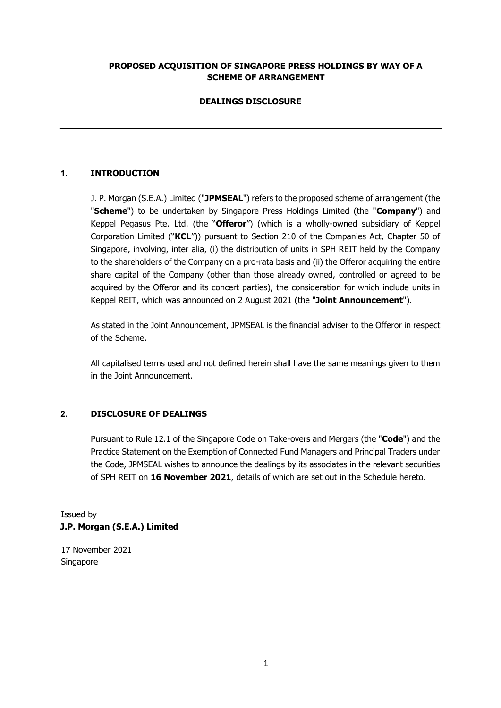### **PROPOSED ACQUISITION OF SINGAPORE PRESS HOLDINGS BY WAY OF A SCHEME OF ARRANGEMENT**

## **DEALINGS DISCLOSURE**

## **1. INTRODUCTION**

J. P. Morgan (S.E.A.) Limited ("**JPMSEAL**") refers to the proposed scheme of arrangement (the "**Scheme**") to be undertaken by Singapore Press Holdings Limited (the "**Company**") and Keppel Pegasus Pte. Ltd. (the "**Offeror**") (which is a wholly-owned subsidiary of Keppel Corporation Limited ("**KCL**")) pursuant to Section 210 of the Companies Act, Chapter 50 of Singapore, involving, inter alia, (i) the distribution of units in SPH REIT held by the Company to the shareholders of the Company on a pro-rata basis and (ii) the Offeror acquiring the entire share capital of the Company (other than those already owned, controlled or agreed to be acquired by the Offeror and its concert parties), the consideration for which include units in Keppel REIT, which was announced on 2 August 2021 (the "**Joint Announcement**").

As stated in the Joint Announcement, JPMSEAL is the financial adviser to the Offeror in respect of the Scheme.

All capitalised terms used and not defined herein shall have the same meanings given to them in the Joint Announcement.

### **2. DISCLOSURE OF DEALINGS**

Pursuant to Rule 12.1 of the Singapore Code on Take-overs and Mergers (the "**Code**") and the Practice Statement on the Exemption of Connected Fund Managers and Principal Traders under the Code, JPMSEAL wishes to announce the dealings by its associates in the relevant securities of SPH REIT on **16 November 2021**, details of which are set out in the Schedule hereto.

Issued by **J.P. Morgan (S.E.A.) Limited** 

17 November 2021 Singapore